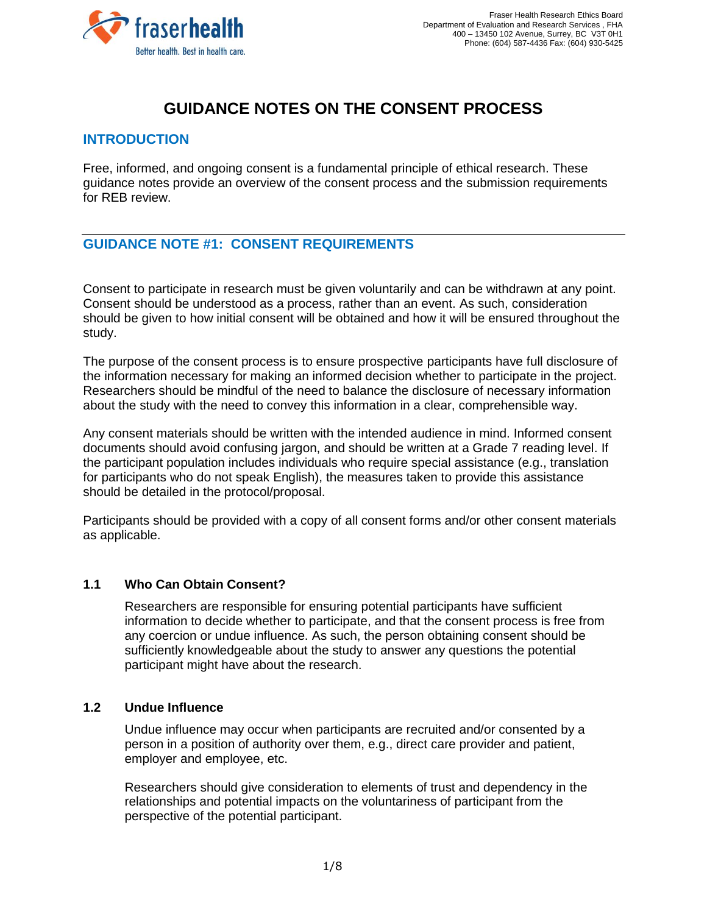

# **GUIDANCE NOTES ON THE CONSENT PROCESS**

## **INTRODUCTION**

Free, informed, and ongoing consent is a fundamental principle of ethical research. These guidance notes provide an overview of the consent process and the submission requirements for REB review.

# **GUIDANCE NOTE #1: CONSENT REQUIREMENTS**

Consent to participate in research must be given voluntarily and can be withdrawn at any point. Consent should be understood as a process, rather than an event. As such, consideration should be given to how initial consent will be obtained and how it will be ensured throughout the study.

The purpose of the consent process is to ensure prospective participants have full disclosure of the information necessary for making an informed decision whether to participate in the project. Researchers should be mindful of the need to balance the disclosure of necessary information about the study with the need to convey this information in a clear, comprehensible way.

Any consent materials should be written with the intended audience in mind. Informed consent documents should avoid confusing jargon, and should be written at a Grade 7 reading level. If the participant population includes individuals who require special assistance (e.g., translation for participants who do not speak English), the measures taken to provide this assistance should be detailed in the protocol/proposal.

Participants should be provided with a copy of all consent forms and/or other consent materials as applicable.

#### **1.1 Who Can Obtain Consent?**

Researchers are responsible for ensuring potential participants have sufficient information to decide whether to participate, and that the consent process is free from any coercion or undue influence. As such, the person obtaining consent should be sufficiently knowledgeable about the study to answer any questions the potential participant might have about the research.

#### **1.2 Undue Influence**

Undue influence may occur when participants are recruited and/or consented by a person in a position of authority over them, e.g., direct care provider and patient, employer and employee, etc.

Researchers should give consideration to elements of trust and dependency in the relationships and potential impacts on the voluntariness of participant from the perspective of the potential participant.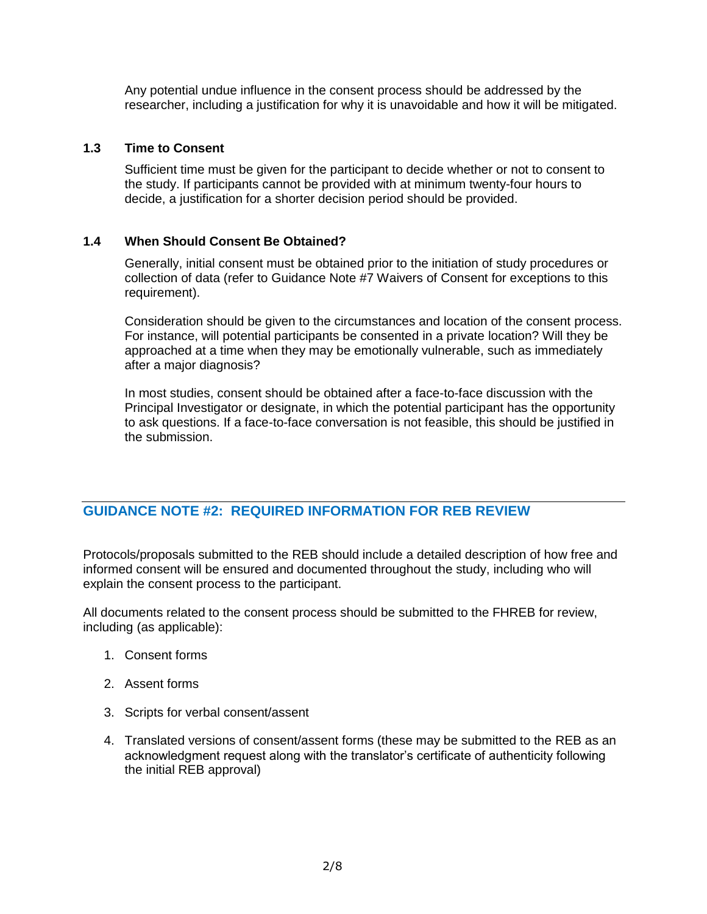Any potential undue influence in the consent process should be addressed by the researcher, including a justification for why it is unavoidable and how it will be mitigated.

#### **1.3 Time to Consent**

Sufficient time must be given for the participant to decide whether or not to consent to the study. If participants cannot be provided with at minimum twenty-four hours to decide, a justification for a shorter decision period should be provided.

#### **1.4 When Should Consent Be Obtained?**

Generally, initial consent must be obtained prior to the initiation of study procedures or collection of data (refer to Guidance Note #7 Waivers of Consent for exceptions to this requirement).

Consideration should be given to the circumstances and location of the consent process. For instance, will potential participants be consented in a private location? Will they be approached at a time when they may be emotionally vulnerable, such as immediately after a major diagnosis?

In most studies, consent should be obtained after a face-to-face discussion with the Principal Investigator or designate, in which the potential participant has the opportunity to ask questions. If a face-to-face conversation is not feasible, this should be justified in the submission.

# **GUIDANCE NOTE #2: REQUIRED INFORMATION FOR REB REVIEW**

Protocols/proposals submitted to the REB should include a detailed description of how free and informed consent will be ensured and documented throughout the study, including who will explain the consent process to the participant.

All documents related to the consent process should be submitted to the FHREB for review, including (as applicable):

- 1. Consent forms
- 2. Assent forms
- 3. Scripts for verbal consent/assent
- 4. Translated versions of consent/assent forms (these may be submitted to the REB as an acknowledgment request along with the translator's certificate of authenticity following the initial REB approval)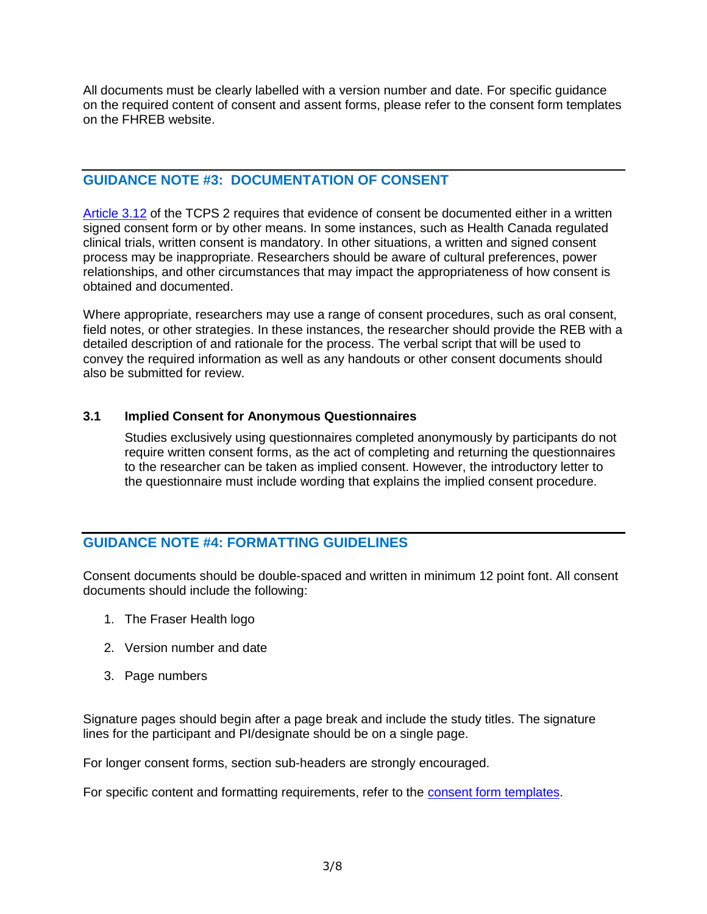All documents must be clearly labelled with a version number and date. For specific guidance on the required content of consent and assent forms, please refer to the consent form templates on the FHREB website.

# **GUIDANCE NOTE #3: DOCUMENTATION OF CONSENT**

[Article 3.12](https://ethics.gc.ca/eng/tcps2-eptc2_2018_chapter3-chapitre3.html) of the TCPS 2 requires that evidence of consent be documented either in a written signed consent form or by other means. In some instances, such as Health Canada regulated clinical trials, written consent is mandatory. In other situations, a written and signed consent process may be inappropriate. Researchers should be aware of cultural preferences, power relationships, and other circumstances that may impact the appropriateness of how consent is obtained and documented.

Where appropriate, researchers may use a range of consent procedures, such as oral consent, field notes, or other strategies. In these instances, the researcher should provide the REB with a detailed description of and rationale for the process. The verbal script that will be used to convey the required information as well as any handouts or other consent documents should also be submitted for review.

#### **3.1 Implied Consent for Anonymous Questionnaires**

Studies exclusively using questionnaires completed anonymously by participants do not require written consent forms, as the act of completing and returning the questionnaires to the researcher can be taken as implied consent. However, the introductory letter to the questionnaire must include wording that explains the implied consent procedure.

# **GUIDANCE NOTE #4: FORMATTING GUIDELINES**

Consent documents should be double-spaced and written in minimum 12 point font. All consent documents should include the following:

- 1. The Fraser Health logo
- 2. Version number and date
- 3. Page numbers

Signature pages should begin after a page break and include the study titles. The signature lines for the participant and PI/designate should be on a single page.

For longer consent forms, section sub-headers are strongly encouraged.

For specific content and formatting requirements, refer to the [consent form templates.](https://www.fraserhealth.ca/employees/research-and-evaluation/find-resources/research-forms-guidance-notes-templates#.XcRDmPlKi5s)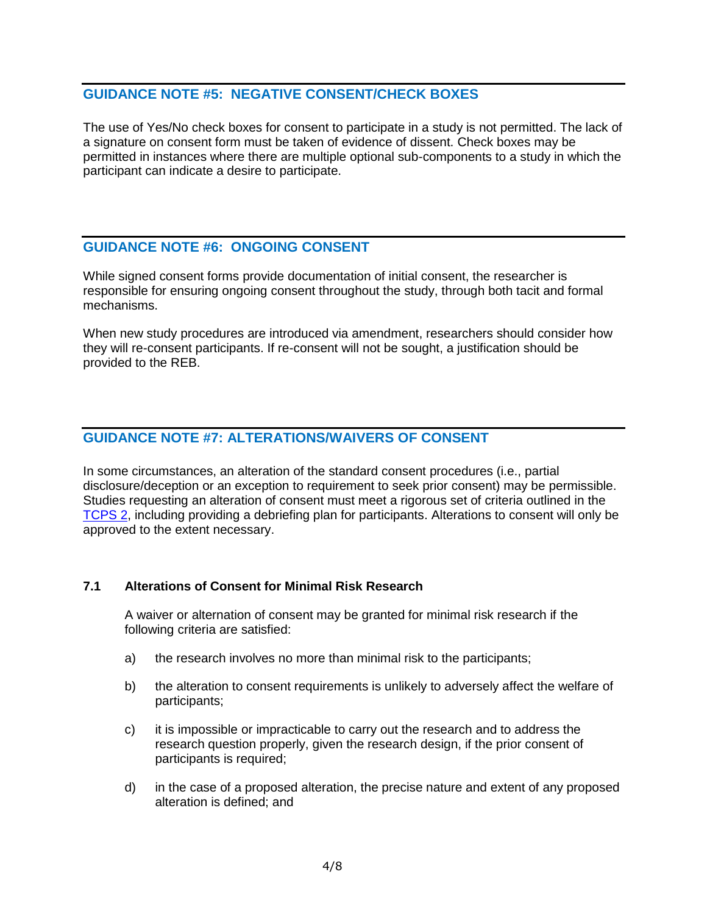# **GUIDANCE NOTE #5: NEGATIVE CONSENT/CHECK BOXES**

The use of Yes/No check boxes for consent to participate in a study is not permitted. The lack of a signature on consent form must be taken of evidence of dissent. Check boxes may be permitted in instances where there are multiple optional sub-components to a study in which the participant can indicate a desire to participate.

## **GUIDANCE NOTE #6: ONGOING CONSENT**

While signed consent forms provide documentation of initial consent, the researcher is responsible for ensuring ongoing consent throughout the study, through both tacit and formal mechanisms.

When new study procedures are introduced via amendment, researchers should consider how they will re-consent participants. If re-consent will not be sought, a justification should be provided to the REB.

## **GUIDANCE NOTE #7: ALTERATIONS/WAIVERS OF CONSENT**

In some circumstances, an alteration of the standard consent procedures (i.e., partial disclosure/deception or an exception to requirement to seek prior consent) may be permissible. Studies requesting an alteration of consent must meet a rigorous set of criteria outlined in the [TCPS 2,](https://ethics.gc.ca/eng/policy-politique_tcps2-eptc2_2018.html) including providing a debriefing plan for participants. Alterations to consent will only be approved to the extent necessary.

#### **7.1 Alterations of Consent for Minimal Risk Research**

A waiver or alternation of consent may be granted for minimal risk research if the following criteria are satisfied:

- a) the research involves no more than minimal risk to the participants;
- b) the alteration to consent requirements is unlikely to adversely affect the welfare of participants;
- c) it is impossible or impracticable to carry out the research and to address the research question properly, given the research design, if the prior consent of participants is required;
- d) in the case of a proposed alteration, the precise nature and extent of any proposed alteration is defined; and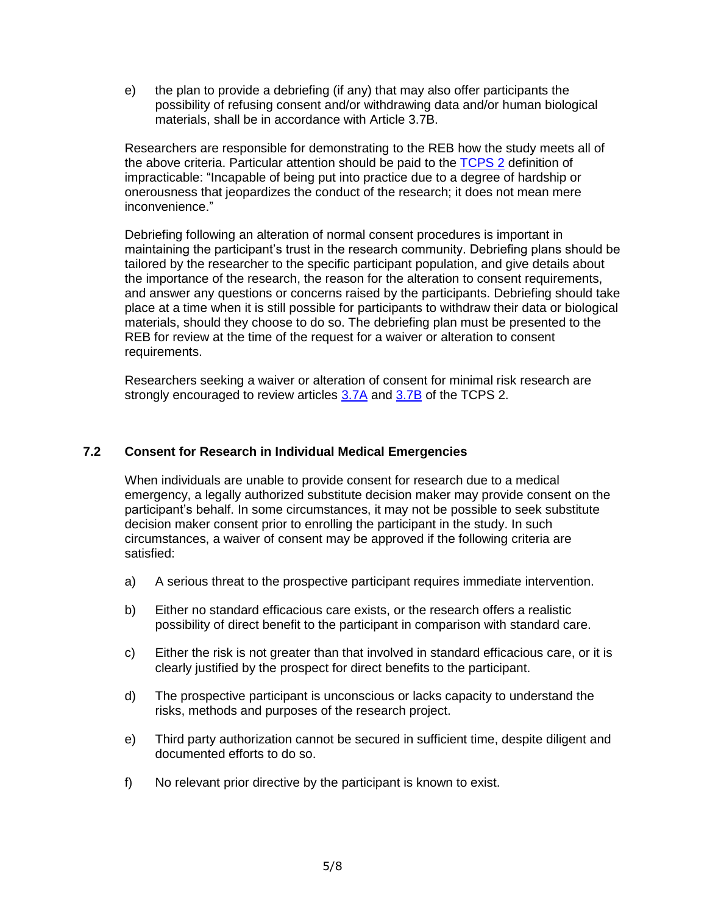e) the plan to provide a debriefing (if any) that may also offer participants the possibility of refusing consent and/or withdrawing data and/or human biological materials, shall be in accordance with Article 3.7B.

Researchers are responsible for demonstrating to the REB how the study meets all of the above criteria. Particular attention should be paid to the [TCPS 2](https://ethics.gc.ca/eng/tcps2-eptc2_2018_glossary-glossaire.html) definition of impracticable: "Incapable of being put into practice due to a degree of hardship or onerousness that jeopardizes the conduct of the research; it does not mean mere inconvenience."

Debriefing following an alteration of normal consent procedures is important in maintaining the participant's trust in the research community. Debriefing plans should be tailored by the researcher to the specific participant population, and give details about the importance of the research, the reason for the alteration to consent requirements, and answer any questions or concerns raised by the participants. Debriefing should take place at a time when it is still possible for participants to withdraw their data or biological materials, should they choose to do so. The debriefing plan must be presented to the REB for review at the time of the request for a waiver or alteration to consent requirements.

Researchers seeking a waiver or alteration of consent for minimal risk research are strongly encouraged to review articles [3.7A](http://www.pre.ethics.gc.ca/eng/tcps2-eptc2_2018_chapter3-chapitre3.html#d) and [3.7B](http://www.pre.ethics.gc.ca/eng/tcps2-eptc2_2018_chapter3-chapitre3.html#d) of the TCPS 2.

#### **7.2 Consent for Research in Individual Medical Emergencies**

When individuals are unable to provide consent for research due to a medical emergency, a legally authorized substitute decision maker may provide consent on the participant's behalf. In some circumstances, it may not be possible to seek substitute decision maker consent prior to enrolling the participant in the study. In such circumstances, a waiver of consent may be approved if the following criteria are satisfied:

- a) A serious threat to the prospective participant requires immediate intervention.
- b) Either no standard efficacious care exists, or the research offers a realistic possibility of direct benefit to the participant in comparison with standard care.
- c) Either the risk is not greater than that involved in standard efficacious care, or it is clearly justified by the prospect for direct benefits to the participant.
- d) The prospective participant is unconscious or lacks capacity to understand the risks, methods and purposes of the research project.
- e) Third party authorization cannot be secured in sufficient time, despite diligent and documented efforts to do so.
- f) No relevant prior directive by the participant is known to exist.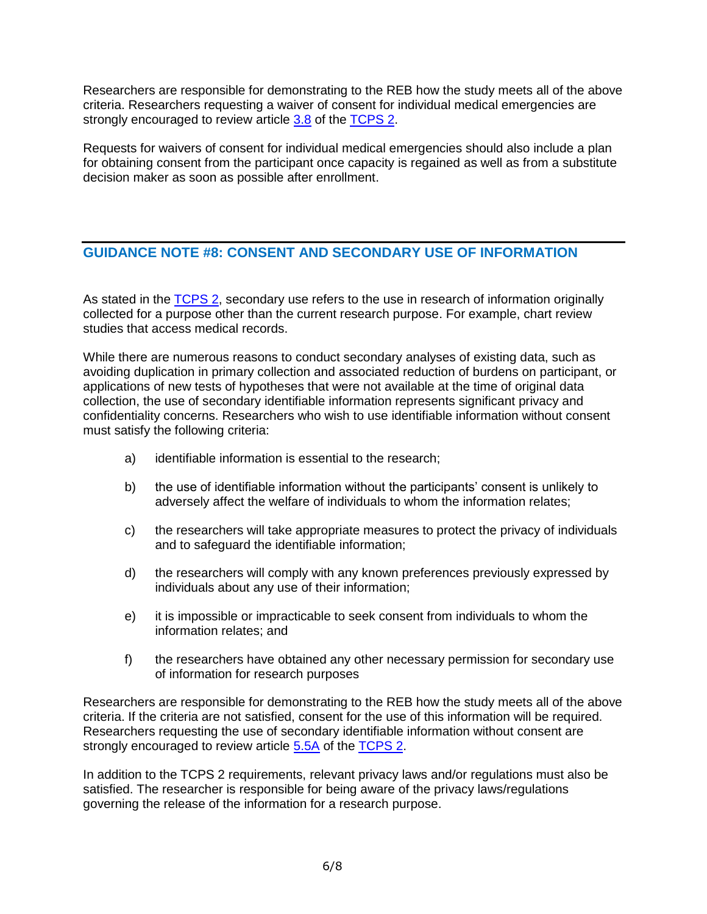Researchers are responsible for demonstrating to the REB how the study meets all of the above criteria. Researchers requesting a waiver of consent for individual medical emergencies are strongly encouraged to review article [3.8](http://www.pre.ethics.gc.ca/eng/tcps2-eptc2_2018_chapter3-chapitre3.html) of the [TCPS 2.](http://www.pre.ethics.gc.ca/eng/tcps2-eptc2_2018_chapter3-chapitre3.html)

Requests for waivers of consent for individual medical emergencies should also include a plan for obtaining consent from the participant once capacity is regained as well as from a substitute decision maker as soon as possible after enrollment.

# **GUIDANCE NOTE #8: CONSENT AND SECONDARY USE OF INFORMATION**

As stated in the [TCPS 2,](https://ethics.gc.ca/eng/tcps2-eptc2_2018_chapter5-chapitre5.html) secondary use refers to the use in research of information originally collected for a purpose other than the current research purpose. For example, chart review studies that access medical records.

While there are numerous reasons to conduct secondary analyses of existing data, such as avoiding duplication in primary collection and associated reduction of burdens on participant, or applications of new tests of hypotheses that were not available at the time of original data collection, the use of secondary identifiable information represents significant privacy and confidentiality concerns. Researchers who wish to use identifiable information without consent must satisfy the following criteria:

- a) identifiable information is essential to the research;
- b) the use of identifiable information without the participants' consent is unlikely to adversely affect the welfare of individuals to whom the information relates;
- c) the researchers will take appropriate measures to protect the privacy of individuals and to safeguard the identifiable information;
- d) the researchers will comply with any known preferences previously expressed by individuals about any use of their information;
- e) it is impossible or impracticable to seek consent from individuals to whom the information relates; and
- f) the researchers have obtained any other necessary permission for secondary use of information for research purposes

Researchers are responsible for demonstrating to the REB how the study meets all of the above criteria. If the criteria are not satisfied, consent for the use of this information will be required. Researchers requesting the use of secondary identifiable information without consent are strongly encouraged to review article [5.5A](http://www.pre.ethics.gc.ca/eng/tcps2-eptc2_2018_chapter5-chapitre5.html) of the [TCPS 2.](http://www.pre.ethics.gc.ca/eng/tcps2-eptc2_2018_chapter5-chapitre5.html)

In addition to the TCPS 2 requirements, relevant privacy laws and/or regulations must also be satisfied. The researcher is responsible for being aware of the privacy laws/regulations governing the release of the information for a research purpose.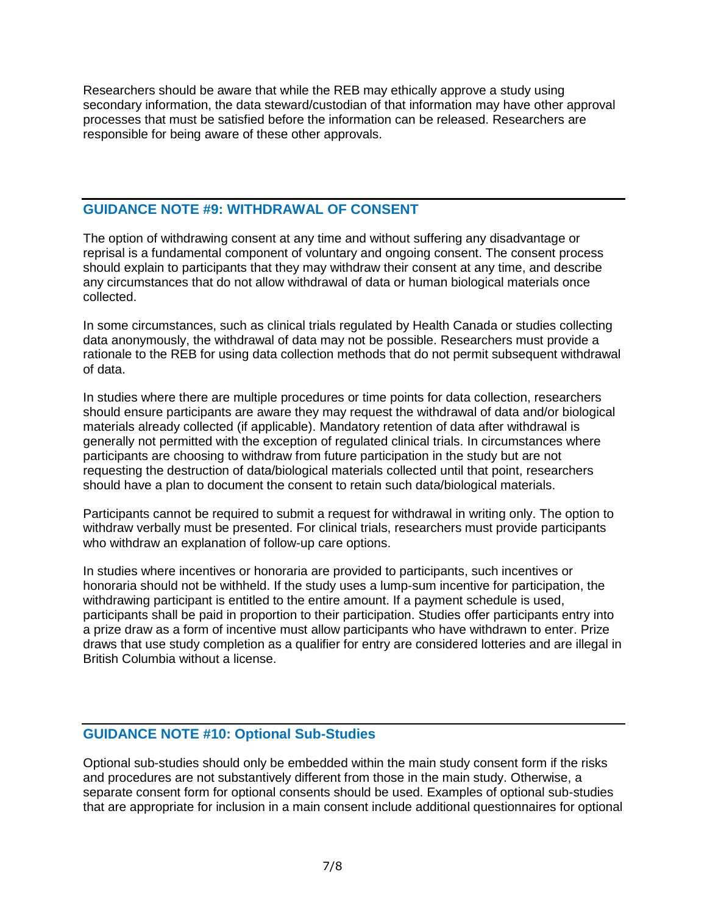Researchers should be aware that while the REB may ethically approve a study using secondary information, the data steward/custodian of that information may have other approval processes that must be satisfied before the information can be released. Researchers are responsible for being aware of these other approvals.

#### **GUIDANCE NOTE #9: WITHDRAWAL OF CONSENT**

The option of withdrawing consent at any time and without suffering any disadvantage or reprisal is a fundamental component of voluntary and ongoing consent. The consent process should explain to participants that they may withdraw their consent at any time, and describe any circumstances that do not allow withdrawal of data or human biological materials once collected.

In some circumstances, such as clinical trials regulated by Health Canada or studies collecting data anonymously, the withdrawal of data may not be possible. Researchers must provide a rationale to the REB for using data collection methods that do not permit subsequent withdrawal of data.

In studies where there are multiple procedures or time points for data collection, researchers should ensure participants are aware they may request the withdrawal of data and/or biological materials already collected (if applicable). Mandatory retention of data after withdrawal is generally not permitted with the exception of regulated clinical trials. In circumstances where participants are choosing to withdraw from future participation in the study but are not requesting the destruction of data/biological materials collected until that point, researchers should have a plan to document the consent to retain such data/biological materials.

Participants cannot be required to submit a request for withdrawal in writing only. The option to withdraw verbally must be presented. For clinical trials, researchers must provide participants who withdraw an explanation of follow-up care options.

In studies where incentives or honoraria are provided to participants, such incentives or honoraria should not be withheld. If the study uses a lump-sum incentive for participation, the withdrawing participant is entitled to the entire amount. If a payment schedule is used, participants shall be paid in proportion to their participation. Studies offer participants entry into a prize draw as a form of incentive must allow participants who have withdrawn to enter. Prize draws that use study completion as a qualifier for entry are considered lotteries and are illegal in British Columbia without a license.

## **GUIDANCE NOTE #10: Optional Sub-Studies**

Optional sub-studies should only be embedded within the main study consent form if the risks and procedures are not substantively different from those in the main study. Otherwise, a separate consent form for optional consents should be used. Examples of optional sub-studies that are appropriate for inclusion in a main consent include additional questionnaires for optional